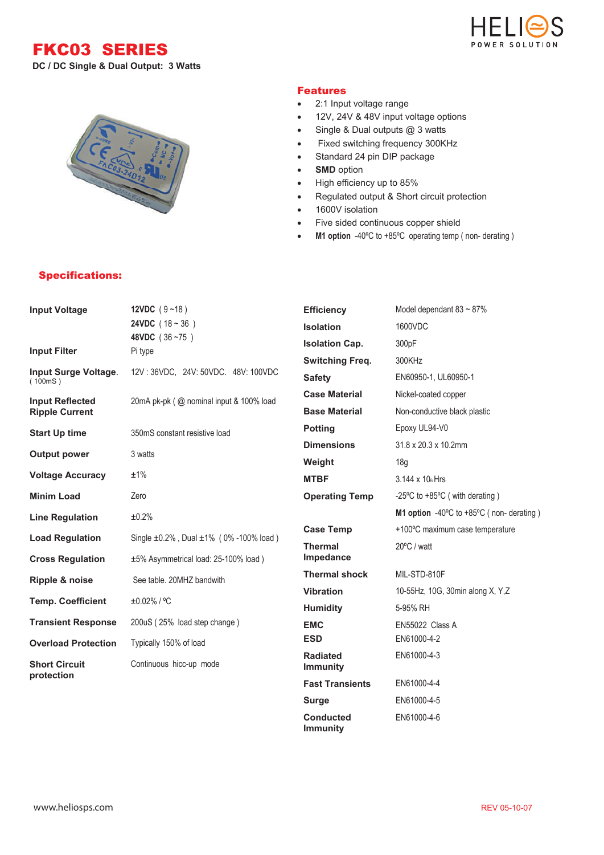FKC03 SERIES

**DC / DC Single & Dual Output: 3 Watts**



## Features

- 2:1 Input voltage range
- 12V, 24V & 48V input voltage options
- Single & Dual outputs @ 3 watts
- Fixed switching frequency 300KHz
- Standard 24 pin DIP package
- **SMD** option
- High efficiency up to 85%
- Regulated output & Short circuit protection
- 1600V isolation
- Five sided continuous copper shield
- M1 option -40°C to +85°C operating temp (non- derating)



## Specifications:

| <b>Input Voltage</b>               | 12VDC $(9 - 18)$                                    | <b>Efficiency</b>                  | Model dependant $83 \sim 87\%$           |
|------------------------------------|-----------------------------------------------------|------------------------------------|------------------------------------------|
|                                    | <b>24VDC</b> $(18 - 36)$                            | <b>Isolation</b>                   | 1600VDC                                  |
|                                    | 48VDC (36~75)<br>Pi type                            | <b>Isolation Cap.</b>              | 300pF                                    |
| <b>Input Filter</b>                |                                                     | <b>Switching Freq.</b>             | 300KHz                                   |
| Input Surge Voltage.<br>(100mS)    | 12V: 36VDC, 24V: 50VDC. 48V: 100VDC                 | <b>Safety</b>                      | EN60950-1, UL60950-1                     |
| <b>Input Reflected</b>             | 20mA pk-pk (@ nominal input & 100% load             | <b>Case Material</b>               | Nickel-coated copper                     |
| <b>Ripple Current</b>              |                                                     | <b>Base Material</b>               | Non-conductive black plastic             |
| <b>Start Up time</b>               | 350mS constant resistive load                       | <b>Potting</b>                     | Epoxy UL94-V0                            |
|                                    | 3 watts                                             | <b>Dimensions</b>                  | $31.8 \times 20.3 \times 10.2$ mm        |
| <b>Output power</b>                |                                                     | Weight                             | 18g                                      |
| <b>Voltage Accuracy</b>            | ±1%                                                 | <b>MTBF</b>                        | 3.144 x 10 <sub>6</sub> Hrs              |
| <b>Minim Load</b>                  | Zero                                                | <b>Operating Temp</b>              | -25°C to +85°C (with derating)           |
| <b>Line Regulation</b>             | ±0.2%                                               |                                    | M1 option -40°C to +85°C (non- derating) |
| <b>Load Regulation</b>             | Single $\pm 0.2\%$ , Dual $\pm 1\%$ (0% -100% load) | <b>Case Temp</b>                   | +100°C maximum case temperature          |
|                                    |                                                     | <b>Thermal</b>                     | 20°C / watt                              |
| <b>Cross Regulation</b>            | ±5% Asymmetrical load: 25-100% load)                | Impedance                          |                                          |
| Ripple & noise                     | See table, 20MHZ bandwith                           | <b>Thermal shock</b>               | MIL-STD-810F                             |
| <b>Temp. Coefficient</b>           | ±0.02% / °C                                         | <b>Vibration</b>                   | 10-55Hz, 10G, 30min along X, Y,Z         |
|                                    |                                                     | <b>Humidity</b>                    | 5-95% RH                                 |
| <b>Transient Response</b>          | 200uS (25% load step change)                        | <b>EMC</b>                         | EN55022 Class A                          |
| <b>Overload Protection</b>         | Typically 150% of load                              | <b>ESD</b>                         | EN61000-4-2                              |
| <b>Short Circuit</b><br>protection | Continuous hicc-up mode                             | <b>Radiated</b><br><b>Immunity</b> | EN61000-4-3                              |
|                                    |                                                     | <b>Fast Transients</b>             | EN61000-4-4                              |
|                                    |                                                     | <b>Surge</b>                       | EN61000-4-5                              |

**Conducted Immunity**

EN61000-4-6